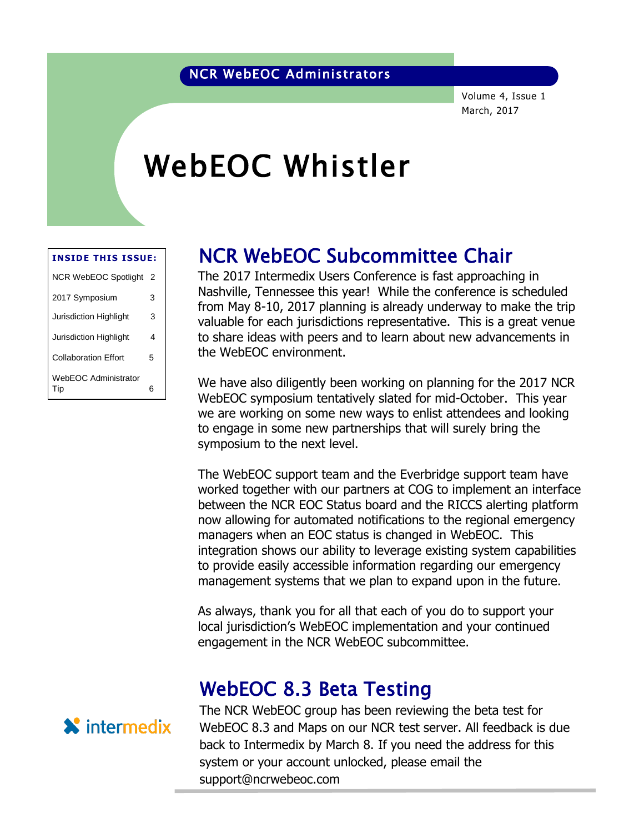### NCR WebEOC Administrators

Volume 4, Issue 1 March, 2017

# WebEOC Whistler

| <b>INSIDE THIS ISSUE:</b>   |   |
|-----------------------------|---|
| NCR WebEOC Spotlight 2      |   |
| 2017 Symposium              | 3 |
| Jurisdiction Highlight      | 3 |
| Jurisdiction Highlight      | 4 |
| Collaboration Effort        | 5 |
| <b>WebEOC Administrator</b> |   |
| Tip                         | 6 |

### NCR WebEOC Subcommittee Chair

The 2017 Intermedix Users Conference is fast approaching in The 2017 Intermetix Osers Conference is rast approaching in<br>Nashville, Tennessee this year! While the conference is scheduled from May 8-10, 2017 planning is already underway to make the trip valuable for each jurisdictions representative. This is a great venue to share ideas with peers and to learn about new advancements in the WebEOC environment.

We have also diligently been working on planning for the 2017 NCR WebEOC symposium tentatively slated for mid-October. This year we are working on some new ways to enlist attendees and looking to engage in some new partnerships that will surely bring the symposium to the next level.

The WebEOC support team and the Everbridge support team have worked together with our partners at COG to implement an interface between the NCR EOC Status board and the RICCS alerting platform now allowing for automated notifications to the regional emergency managers when an EOC status is changed in WebEOC. This integration shows our ability to leverage existing system capabilities to provide easily accessible information regarding our emergency management systems that we plan to expand upon in the future.

As always, thank you for all that each of you do to support your local jurisdiction's WebEOC implementation and your continued engagement in the NCR WebEOC subcommittee.

### WebEOC 8.3 Beta Testing

**X** intermedix

The NCR WebEOC group has been reviewing the beta test for WebEOC 8.3 and Maps on our NCR test server. All feedback is due back to Intermedix by March 8. If you need the address for this system or your account unlocked, please email the support@ncrwebeoc.com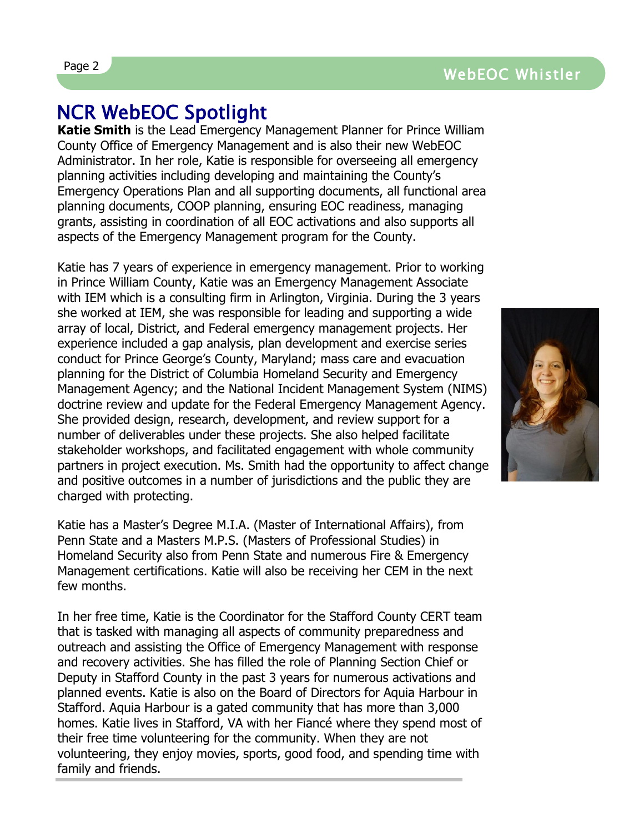## NCR WebEOC Spotlight

**Katie Smith** is the Lead Emergency Management Planner for Prince William County Office of Emergency Management and is also their new WebEOC Administrator. In her role, Katie is responsible for overseeing all emergency planning activities including developing and maintaining the County's Emergency Operations Plan and all supporting documents, all functional area planning documents, COOP planning, ensuring EOC readiness, managing grants, assisting in coordination of all EOC activations and also supports all aspects of the Emergency Management program for the County.

Katie has 7 years of experience in emergency management. Prior to working in Prince William County, Katie was an Emergency Management Associate with IEM which is a consulting firm in Arlington, Virginia. During the 3 years she worked at IEM, she was responsible for leading and supporting a wide array of local, District, and Federal emergency management projects. Her experience included a gap analysis, plan development and exercise series conduct for Prince George's County, Maryland; mass care and evacuation planning for the District of Columbia Homeland Security and Emergency Management Agency; and the National Incident Management System (NIMS) doctrine review and update for the Federal Emergency Management Agency. She provided design, research, development, and review support for a number of deliverables under these projects. She also helped facilitate stakeholder workshops, and facilitated engagement with whole community partners in project execution. Ms. Smith had the opportunity to affect change and positive outcomes in a number of jurisdictions and the public they are charged with protecting.

Katie has a Master's Degree M.I.A. (Master of International Affairs), from Penn State and a Masters M.P.S. (Masters of Professional Studies) in Homeland Security also from Penn State and numerous Fire & Emergency Management certifications. Katie will also be receiving her CEM in the next few months.

In her free time, Katie is the Coordinator for the Stafford County CERT team that is tasked with managing all aspects of community preparedness and outreach and assisting the Office of Emergency Management with response and recovery activities. She has filled the role of Planning Section Chief or Deputy in Stafford County in the past 3 years for numerous activations and planned events. Katie is also on the Board of Directors for Aquia Harbour in Stafford. Aquia Harbour is a gated community that has more than 3,000 homes. Katie lives in Stafford, VA with her Fiancé where they spend most of their free time volunteering for the community. When they are not volunteering, they enjoy movies, sports, good food, and spending time with family and friends.

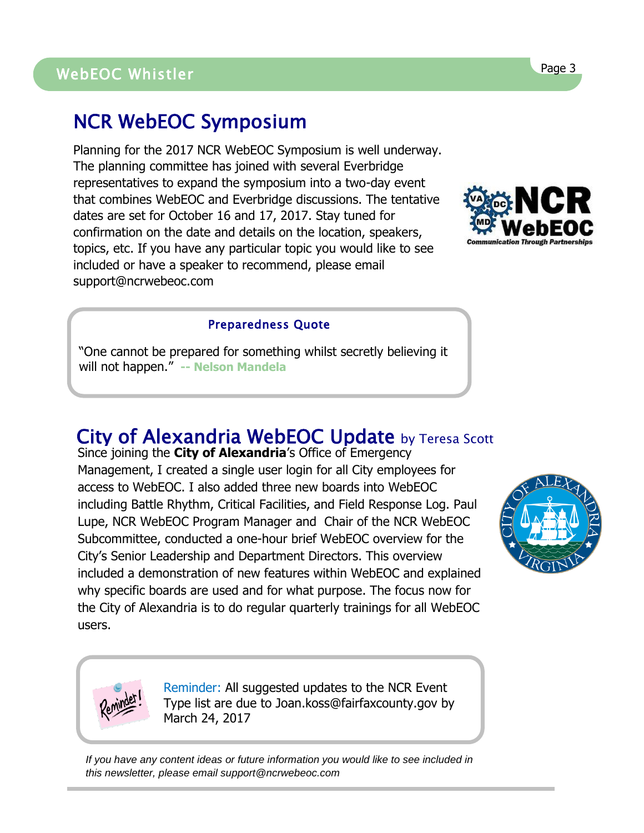## NCR WebEOC Symposium

Planning for the 2017 NCR WebEOC Symposium is well underway. The planning committee has joined with several Everbridge representatives to expand the symposium into a two-day event that combines WebEOC and Everbridge discussions. The tentative dates are set for October 16 and 17, 2017. Stay tuned for confirmation on the date and details on the location, speakers, topics, etc. If you have any particular topic you would like to see included or have a speaker to recommend, please email support@ncrwebeoc.com

### Preparedness Quote

"One cannot be prepared for something whilst secretly believing it will not happen." **-- Nelson Mandela**

## City of Alexandria WebEOC Update by Teresa Scott

Since joining the **City of Alexandria**'s Office of Emergency Management, I created a single user login for all City employees for access to WebEOC. I also added three new boards into WebEOC including Battle Rhythm, Critical Facilities, and Field Response Log. Paul Lupe, NCR WebEOC Program Manager and Chair of the NCR WebEOC Subcommittee, conducted a one-hour brief WebEOC overview for the City's Senior Leadership and Department Directors. This overview included a demonstration of new features within WebEOC and explained why specific boards are used and for what purpose. The focus now for the City of Alexandria is to do regular quarterly trainings for all WebEOC users.





Reminder: All suggested updates to the NCR Event Type list are due to Joan.koss@fairfaxcounty.gov by March 24, 2017

*If you have any content ideas or future information you would like to see included in this newsletter, please email support@ncrwebeoc.com*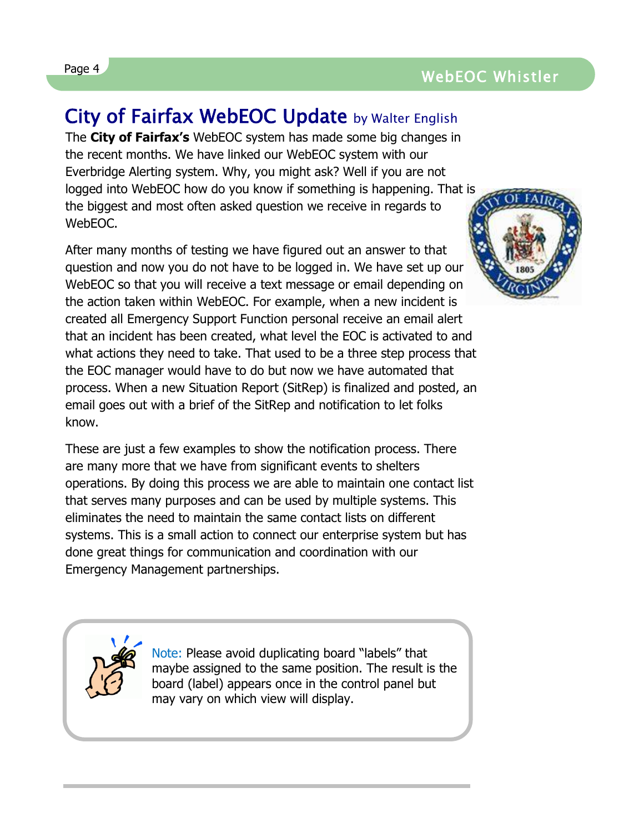### Page 4 and the contract of the contract of the contract of the contract of the contract of the contract of the contract of the contract of the contract of the contract of the contract of the contract of the contract of the WebEOC Whistler

## City of Fairfax WebEOC Update by Walter English

The **City of Fairfax's** WebEOC system has made some big changes in the recent months. We have linked our WebEOC system with our Everbridge Alerting system. Why, you might ask? Well if you are not logged into WebEOC how do you know if something is happening. That is the biggest and most often asked question we receive in regards to WebEOC.

After many months of testing we have figured out an answer to that question and now you do not have to be logged in. We have set up our WebEOC so that you will receive a text message or email depending on the action taken within WebEOC. For example, when a new incident is created all Emergency Support Function personal receive an email alert that an incident has been created, what level the EOC is activated to and what actions they need to take. That used to be a three step process that the EOC manager would have to do but now we have automated that process. When a new Situation Report (SitRep) is finalized and posted, an email goes out with a brief of the SitRep and notification to let folks know.

These are just a few examples to show the notification process. There are many more that we have from significant events to shelters operations. By doing this process we are able to maintain one contact list that serves many purposes and can be used by multiple systems. This eliminates the need to maintain the same contact lists on different systems. This is a small action to connect our enterprise system but has done great things for communication and coordination with our Emergency Management partnerships.

Note: Please avoid duplicating board "labels" that maybe assigned to the same position. The result is the board (label) appears once in the control panel but may vary on which view will display.



l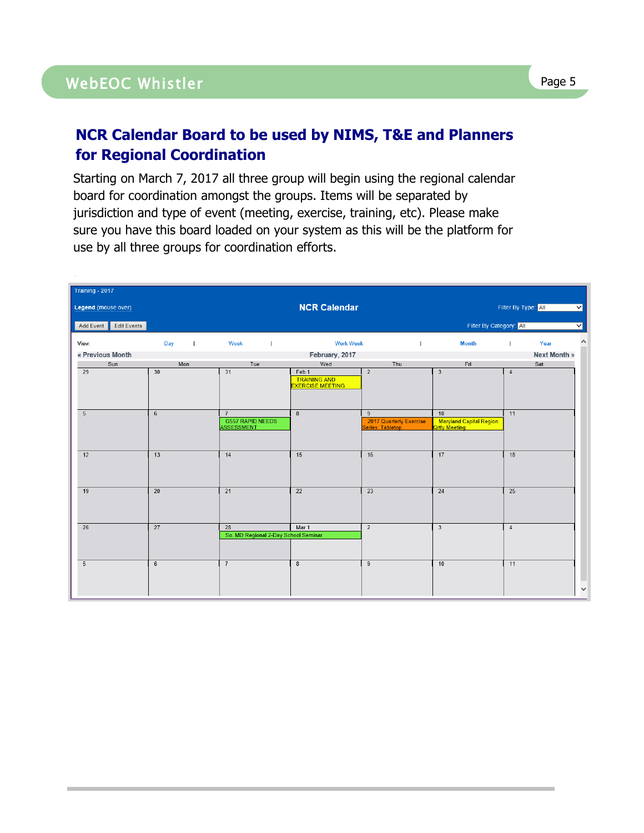.

### **NCR Calendar Board to be used by NIMS, T&E and Planners for Regional Coordination**

Starting on March 7, 2017 all three group will begin using the regional calendar board for coordination amongst the groups. Items will be separated by jurisdiction and type of event (meeting, exercise, training, etc). Please make sure you have this board loaded on your system as this will be the platform for use by all three groups for coordination efforts.

| Training - 2017       |                 |                                              |                                                         |                                             |                                          |                      |                         |
|-----------------------|-----------------|----------------------------------------------|---------------------------------------------------------|---------------------------------------------|------------------------------------------|----------------------|-------------------------|
| Legend (mouse over)   |                 |                                              | <b>NCR Calendar</b>                                     |                                             |                                          | Filter By Type: All  | $\overline{\mathsf{v}}$ |
| Add Event Edit Events |                 |                                              |                                                         |                                             | Filter By Category: All                  |                      | $\checkmark$            |
| View:                 | Day             | Week                                         | <b>Work Week</b>                                        |                                             | <b>Month</b>                             | Year<br>$\mathbf{I}$ | $\curvearrowright$      |
| « Previous Month      |                 |                                              | February, 2017                                          |                                             |                                          | <b>Next Month »</b>  |                         |
| Sun                   | Mon             | Tue                                          | Wed                                                     | Thu                                         | Fri                                      | Sat                  |                         |
| $\overline{29}$       | $\overline{30}$ | $\overline{31}$                              | Feb 1<br><b>TRAINING AND</b><br><b>EXERCISE MEETING</b> | $\overline{2}$                              | $\overline{\mathbf{3}}$                  | $\sqrt{4}$           |                         |
| 5                     | $\,6\,$         | $\overline{7}$                               | $\bf 8$                                                 | 9                                           | 10                                       | 11                   |                         |
|                       |                 | <b>G557 RAPID NEEDS</b><br><b>ASSESSMENT</b> |                                                         | 2017 Quarterly Exercise<br>Series: Tabletop | Maryland Capital Region<br>Qrtly Meeting |                      |                         |
|                       |                 |                                              |                                                         |                                             |                                          |                      |                         |
| 12                    | 13              | 14                                           | 15                                                      | 16                                          | 17                                       | 18                   |                         |
| 19                    | 20              | 21                                           | 22                                                      | 23                                          | 24                                       | 25                   |                         |
| $\overline{26}$       | 27              | 28                                           | Mar 1                                                   | $\overline{2}$                              | $\overline{3}$                           | $\sqrt{4}$           |                         |
|                       |                 | So. MD Regional 2-Day School Seminar         |                                                         |                                             |                                          |                      |                         |
| 5                     | $\,6\,$         | $\overline{7}$                               | 8                                                       | 9                                           | 10                                       | 11                   | $\checkmark$            |